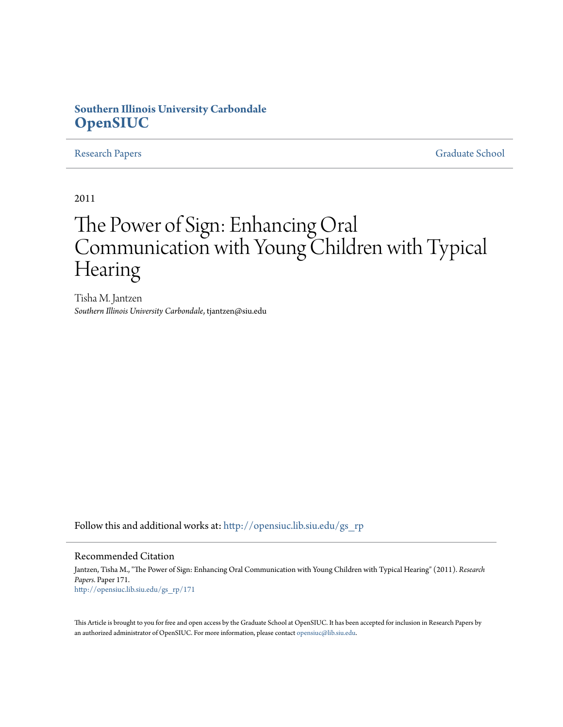# **Southern Illinois University Carbondale [OpenSIUC](http://opensiuc.lib.siu.edu?utm_source=opensiuc.lib.siu.edu%2Fgs_rp%2F171&utm_medium=PDF&utm_campaign=PDFCoverPages)**

[Research Papers](http://opensiuc.lib.siu.edu/gs_rp?utm_source=opensiuc.lib.siu.edu%2Fgs_rp%2F171&utm_medium=PDF&utm_campaign=PDFCoverPages) [Graduate School](http://opensiuc.lib.siu.edu/grad?utm_source=opensiuc.lib.siu.edu%2Fgs_rp%2F171&utm_medium=PDF&utm_campaign=PDFCoverPages)

2011

# The Power of Sign: Enhancing Oral Communication with Young Children with Typical Hearing

Tisha M. Jantzen *Southern Illinois University Carbondale*, tjantzen@siu.edu

Follow this and additional works at: [http://opensiuc.lib.siu.edu/gs\\_rp](http://opensiuc.lib.siu.edu/gs_rp?utm_source=opensiuc.lib.siu.edu%2Fgs_rp%2F171&utm_medium=PDF&utm_campaign=PDFCoverPages)

#### Recommended Citation

Jantzen, Tisha M., "The Power of Sign: Enhancing Oral Communication with Young Children with Typical Hearing" (2011). *Research Papers.* Paper 171. [http://opensiuc.lib.siu.edu/gs\\_rp/171](http://opensiuc.lib.siu.edu/gs_rp/171?utm_source=opensiuc.lib.siu.edu%2Fgs_rp%2F171&utm_medium=PDF&utm_campaign=PDFCoverPages)

This Article is brought to you for free and open access by the Graduate School at OpenSIUC. It has been accepted for inclusion in Research Papers by an authorized administrator of OpenSIUC. For more information, please contact [opensiuc@lib.siu.edu.](mailto:opensiuc@lib.siu.edu)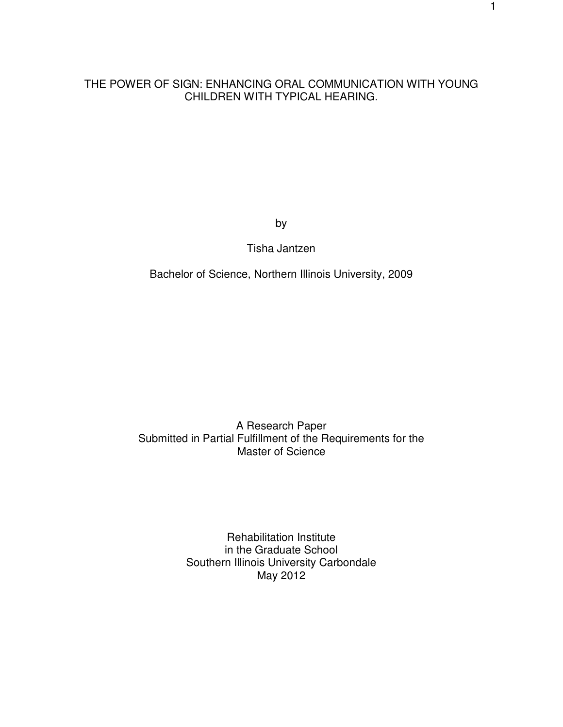### THE POWER OF SIGN: ENHANCING ORAL COMMUNICATION WITH YOUNG CHILDREN WITH TYPICAL HEARING.

by

Tisha Jantzen

Bachelor of Science, Northern Illinois University, 2009

A Research Paper Submitted in Partial Fulfillment of the Requirements for the Master of Science

> Rehabilitation Institute in the Graduate School Southern Illinois University Carbondale May 2012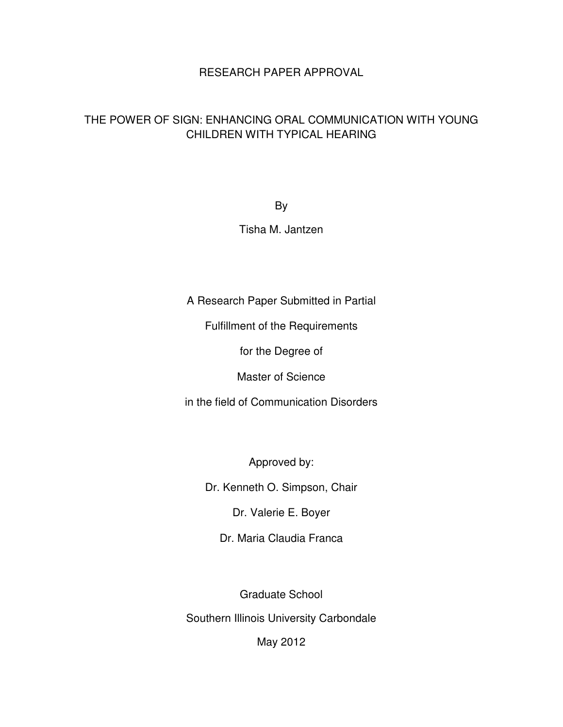# RESEARCH PAPER APPROVAL

# THE POWER OF SIGN: ENHANCING ORAL COMMUNICATION WITH YOUNG CHILDREN WITH TYPICAL HEARING

By

# Tisha M. Jantzen

A Research Paper Submitted in Partial

Fulfillment of the Requirements

for the Degree of

Master of Science

in the field of Communication Disorders

Approved by:

Dr. Kenneth O. Simpson, Chair

Dr. Valerie E. Boyer

Dr. Maria Claudia Franca

Graduate School

Southern Illinois University Carbondale

May 2012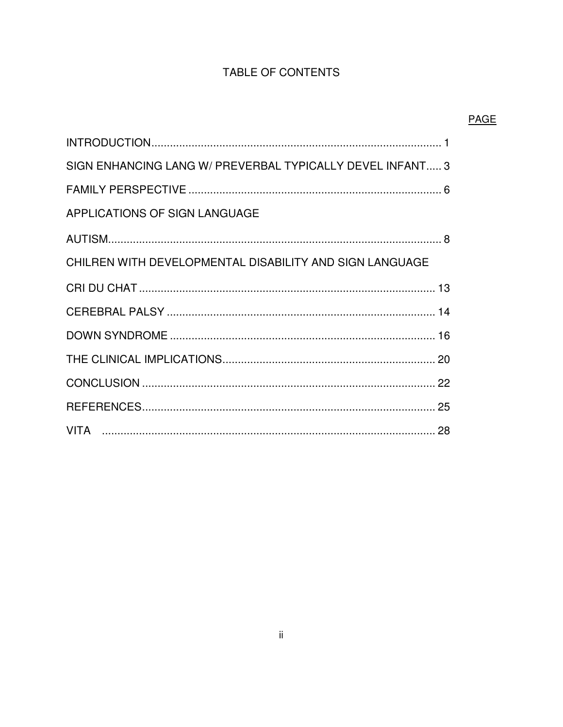# TABLE OF CONTENTS

PAGE

| SIGN ENHANCING LANG W/ PREVERBAL TYPICALLY DEVEL INFANT 3 |
|-----------------------------------------------------------|
|                                                           |
| APPLICATIONS OF SIGN LANGUAGE                             |
|                                                           |
| CHILREN WITH DEVELOPMENTAL DISABILITY AND SIGN LANGUAGE   |
|                                                           |
|                                                           |
|                                                           |
|                                                           |
|                                                           |
|                                                           |
|                                                           |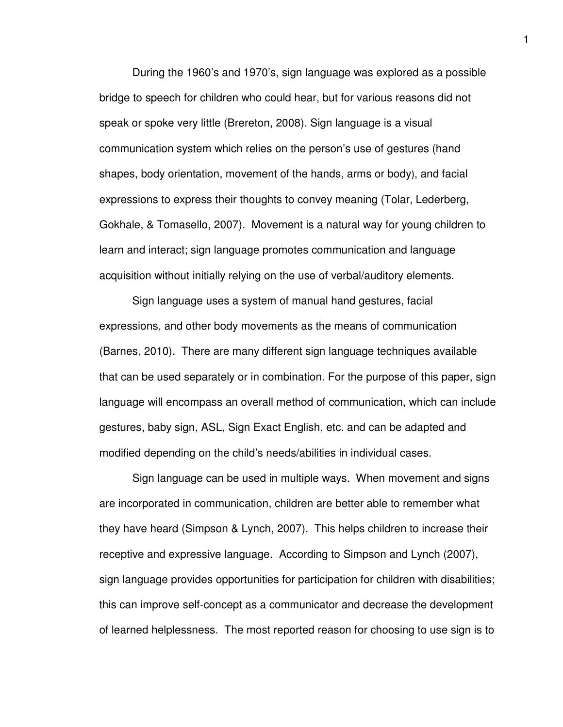During the 1960's and 1970's, sign language was explored as a possible bridge to speech for children who could hear, but for various reasons did not speak or spoke very little (Brereton, 2008). Sign language is a visual communication system which relies on the person's use of gestures (hand shapes, body orientation, movement of the hands, arms or body), and facial expressions to express their thoughts to convey meaning (Tolar, Lederberg, Gokhale, & Tomasello, 2007). Movement is a natural way for young children to learn and interact; sign language promotes communication and language acquisition without initially relying on the use of verbal/auditory elements.

Sign language uses a system of manual hand gestures, facial expressions, and other body movements as the means of communication (Barnes, 2010). There are many different sign language techniques available that can be used separately or in combination. For the purpose of this paper, sign language will encompass an overall method of communication, which can include gestures, baby sign, ASL, Sign Exact English, etc. and can be adapted and modified depending on the child's needs/abilities in individual cases.

Sign language can be used in multiple ways. When movement and signs are incorporated in communication, children are better able to remember what they have heard (Simpson & Lynch, 2007). This helps children to increase their receptive and expressive language. According to Simpson and Lynch (2007), sign language provides opportunities for participation for children with disabilities; this can improve self-concept as a communicator and decrease the development of learned helplessness. The most reported reason for choosing to use sign is to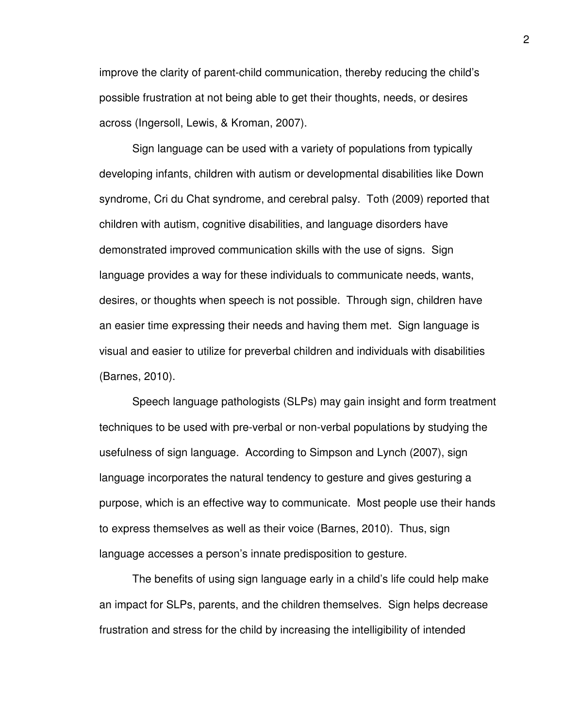improve the clarity of parent-child communication, thereby reducing the child's possible frustration at not being able to get their thoughts, needs, or desires across (Ingersoll, Lewis, & Kroman, 2007).

Sign language can be used with a variety of populations from typically developing infants, children with autism or developmental disabilities like Down syndrome, Cri du Chat syndrome, and cerebral palsy. Toth (2009) reported that children with autism, cognitive disabilities, and language disorders have demonstrated improved communication skills with the use of signs. Sign language provides a way for these individuals to communicate needs, wants, desires, or thoughts when speech is not possible. Through sign, children have an easier time expressing their needs and having them met. Sign language is visual and easier to utilize for preverbal children and individuals with disabilities (Barnes, 2010).

Speech language pathologists (SLPs) may gain insight and form treatment techniques to be used with pre-verbal or non-verbal populations by studying the usefulness of sign language. According to Simpson and Lynch (2007), sign language incorporates the natural tendency to gesture and gives gesturing a purpose, which is an effective way to communicate. Most people use their hands to express themselves as well as their voice (Barnes, 2010). Thus, sign language accesses a person's innate predisposition to gesture.

The benefits of using sign language early in a child's life could help make an impact for SLPs, parents, and the children themselves. Sign helps decrease frustration and stress for the child by increasing the intelligibility of intended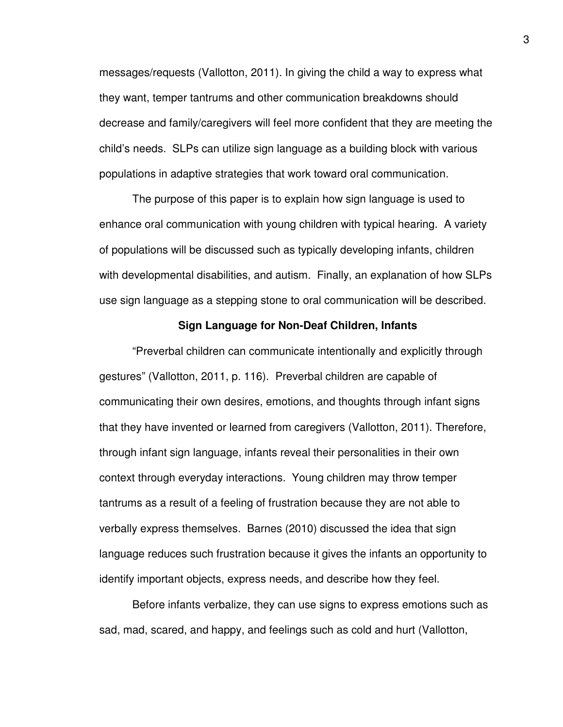messages/requests (Vallotton, 2011). In giving the child a way to express what they want, temper tantrums and other communication breakdowns should decrease and family/caregivers will feel more confident that they are meeting the child's needs. SLPs can utilize sign language as a building block with various populations in adaptive strategies that work toward oral communication.

The purpose of this paper is to explain how sign language is used to enhance oral communication with young children with typical hearing. A variety of populations will be discussed such as typically developing infants, children with developmental disabilities, and autism. Finally, an explanation of how SLPs use sign language as a stepping stone to oral communication will be described.

#### **Sign Language for Non-Deaf Children, Infants**

"Preverbal children can communicate intentionally and explicitly through gestures" (Vallotton, 2011, p. 116). Preverbal children are capable of communicating their own desires, emotions, and thoughts through infant signs that they have invented or learned from caregivers (Vallotton, 2011). Therefore, through infant sign language, infants reveal their personalities in their own context through everyday interactions. Young children may throw temper tantrums as a result of a feeling of frustration because they are not able to verbally express themselves. Barnes (2010) discussed the idea that sign language reduces such frustration because it gives the infants an opportunity to identify important objects, express needs, and describe how they feel.

Before infants verbalize, they can use signs to express emotions such as sad, mad, scared, and happy, and feelings such as cold and hurt (Vallotton,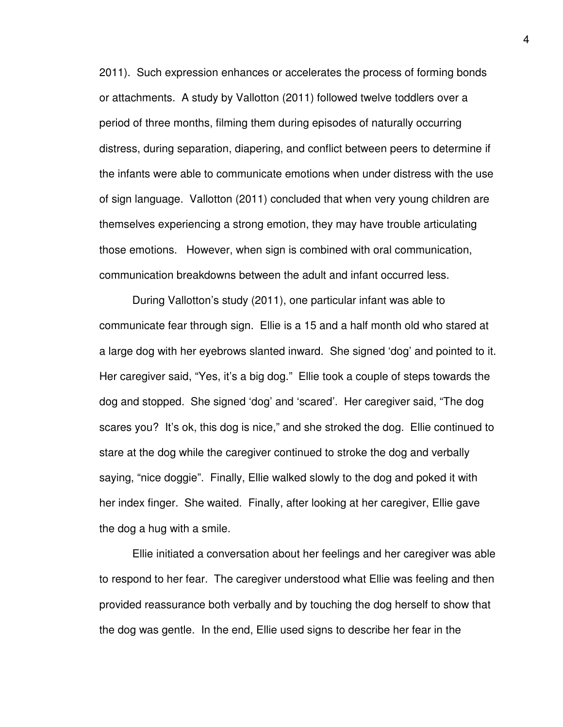2011). Such expression enhances or accelerates the process of forming bonds or attachments. A study by Vallotton (2011) followed twelve toddlers over a period of three months, filming them during episodes of naturally occurring distress, during separation, diapering, and conflict between peers to determine if the infants were able to communicate emotions when under distress with the use of sign language. Vallotton (2011) concluded that when very young children are themselves experiencing a strong emotion, they may have trouble articulating those emotions. However, when sign is combined with oral communication, communication breakdowns between the adult and infant occurred less.

During Vallotton's study (2011), one particular infant was able to communicate fear through sign. Ellie is a 15 and a half month old who stared at a large dog with her eyebrows slanted inward. She signed 'dog' and pointed to it. Her caregiver said, "Yes, it's a big dog." Ellie took a couple of steps towards the dog and stopped. She signed 'dog' and 'scared'. Her caregiver said, "The dog scares you? It's ok, this dog is nice," and she stroked the dog. Ellie continued to stare at the dog while the caregiver continued to stroke the dog and verbally saying, "nice doggie". Finally, Ellie walked slowly to the dog and poked it with her index finger. She waited. Finally, after looking at her caregiver, Ellie gave the dog a hug with a smile.

Ellie initiated a conversation about her feelings and her caregiver was able to respond to her fear. The caregiver understood what Ellie was feeling and then provided reassurance both verbally and by touching the dog herself to show that the dog was gentle. In the end, Ellie used signs to describe her fear in the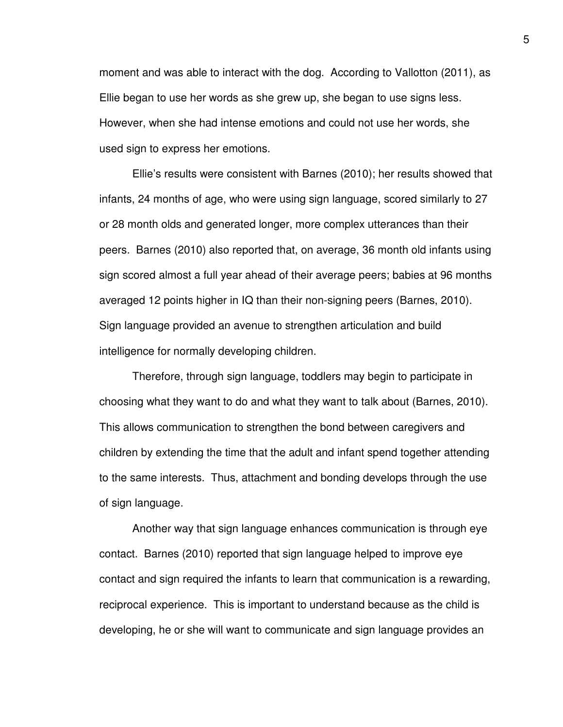moment and was able to interact with the dog. According to Vallotton (2011), as Ellie began to use her words as she grew up, she began to use signs less. However, when she had intense emotions and could not use her words, she used sign to express her emotions.

Ellie's results were consistent with Barnes (2010); her results showed that infants, 24 months of age, who were using sign language, scored similarly to 27 or 28 month olds and generated longer, more complex utterances than their peers. Barnes (2010) also reported that, on average, 36 month old infants using sign scored almost a full year ahead of their average peers; babies at 96 months averaged 12 points higher in IQ than their non-signing peers (Barnes, 2010). Sign language provided an avenue to strengthen articulation and build intelligence for normally developing children.

Therefore, through sign language, toddlers may begin to participate in choosing what they want to do and what they want to talk about (Barnes, 2010). This allows communication to strengthen the bond between caregivers and children by extending the time that the adult and infant spend together attending to the same interests. Thus, attachment and bonding develops through the use of sign language.

Another way that sign language enhances communication is through eye contact. Barnes (2010) reported that sign language helped to improve eye contact and sign required the infants to learn that communication is a rewarding, reciprocal experience. This is important to understand because as the child is developing, he or she will want to communicate and sign language provides an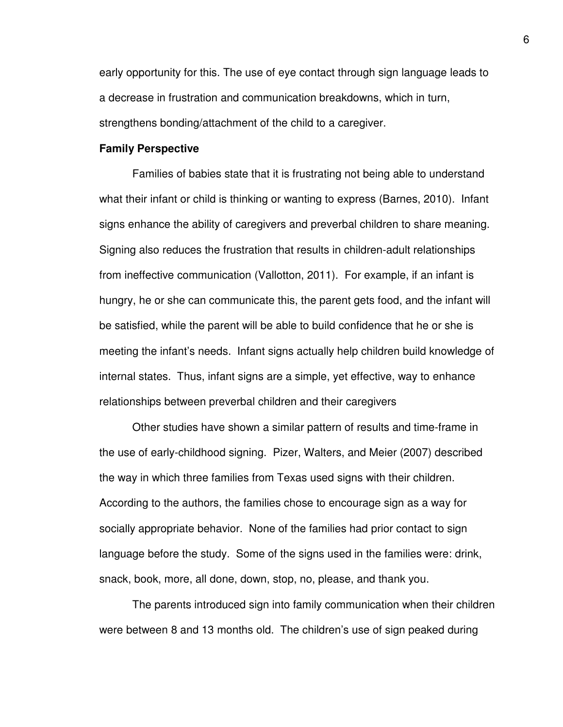early opportunity for this. The use of eye contact through sign language leads to a decrease in frustration and communication breakdowns, which in turn, strengthens bonding/attachment of the child to a caregiver.

#### **Family Perspective**

Families of babies state that it is frustrating not being able to understand what their infant or child is thinking or wanting to express (Barnes, 2010). Infant signs enhance the ability of caregivers and preverbal children to share meaning. Signing also reduces the frustration that results in children-adult relationships from ineffective communication (Vallotton, 2011). For example, if an infant is hungry, he or she can communicate this, the parent gets food, and the infant will be satisfied, while the parent will be able to build confidence that he or she is meeting the infant's needs. Infant signs actually help children build knowledge of internal states. Thus, infant signs are a simple, yet effective, way to enhance relationships between preverbal children and their caregivers

Other studies have shown a similar pattern of results and time-frame in the use of early-childhood signing. Pizer, Walters, and Meier (2007) described the way in which three families from Texas used signs with their children. According to the authors, the families chose to encourage sign as a way for socially appropriate behavior. None of the families had prior contact to sign language before the study. Some of the signs used in the families were: drink, snack, book, more, all done, down, stop, no, please, and thank you.

The parents introduced sign into family communication when their children were between 8 and 13 months old. The children's use of sign peaked during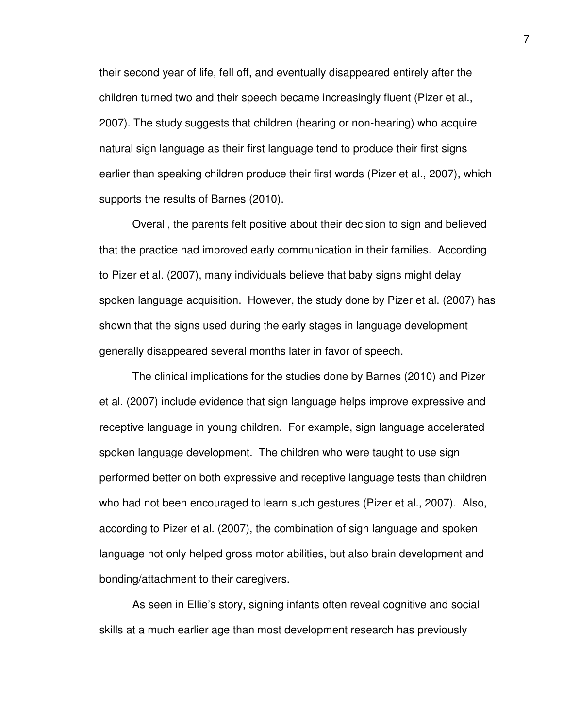their second year of life, fell off, and eventually disappeared entirely after the children turned two and their speech became increasingly fluent (Pizer et al., 2007). The study suggests that children (hearing or non-hearing) who acquire natural sign language as their first language tend to produce their first signs earlier than speaking children produce their first words (Pizer et al., 2007), which supports the results of Barnes (2010).

Overall, the parents felt positive about their decision to sign and believed that the practice had improved early communication in their families. According to Pizer et al. (2007), many individuals believe that baby signs might delay spoken language acquisition. However, the study done by Pizer et al. (2007) has shown that the signs used during the early stages in language development generally disappeared several months later in favor of speech.

The clinical implications for the studies done by Barnes (2010) and Pizer et al. (2007) include evidence that sign language helps improve expressive and receptive language in young children. For example, sign language accelerated spoken language development. The children who were taught to use sign performed better on both expressive and receptive language tests than children who had not been encouraged to learn such gestures (Pizer et al., 2007). Also, according to Pizer et al. (2007), the combination of sign language and spoken language not only helped gross motor abilities, but also brain development and bonding/attachment to their caregivers.

As seen in Ellie's story, signing infants often reveal cognitive and social skills at a much earlier age than most development research has previously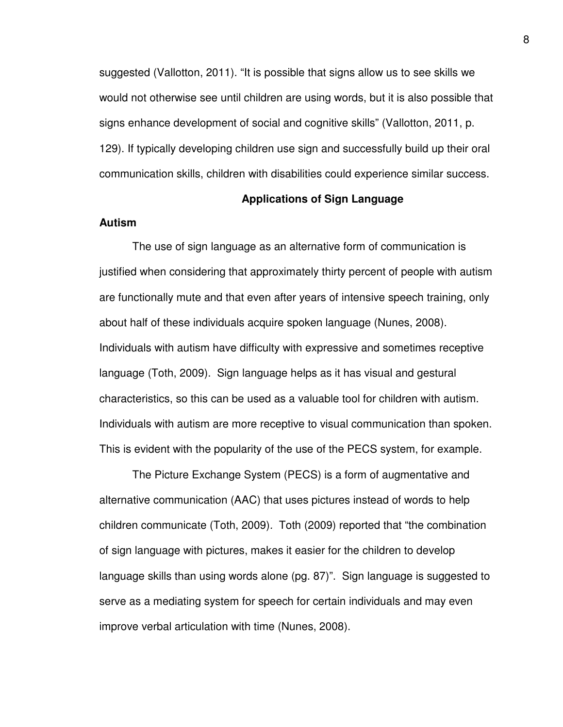suggested (Vallotton, 2011). "It is possible that signs allow us to see skills we would not otherwise see until children are using words, but it is also possible that signs enhance development of social and cognitive skills" (Vallotton, 2011, p. 129). If typically developing children use sign and successfully build up their oral communication skills, children with disabilities could experience similar success.

### **Applications of Sign Language**

#### **Autism**

The use of sign language as an alternative form of communication is justified when considering that approximately thirty percent of people with autism are functionally mute and that even after years of intensive speech training, only about half of these individuals acquire spoken language (Nunes, 2008). Individuals with autism have difficulty with expressive and sometimes receptive language (Toth, 2009). Sign language helps as it has visual and gestural characteristics, so this can be used as a valuable tool for children with autism. Individuals with autism are more receptive to visual communication than spoken. This is evident with the popularity of the use of the PECS system, for example.

The Picture Exchange System (PECS) is a form of augmentative and alternative communication (AAC) that uses pictures instead of words to help children communicate (Toth, 2009). Toth (2009) reported that "the combination of sign language with pictures, makes it easier for the children to develop language skills than using words alone (pg. 87)". Sign language is suggested to serve as a mediating system for speech for certain individuals and may even improve verbal articulation with time (Nunes, 2008).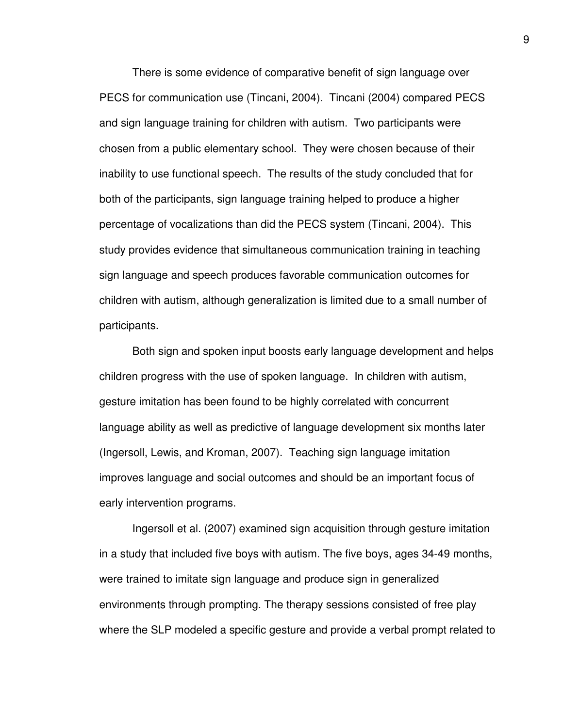There is some evidence of comparative benefit of sign language over PECS for communication use (Tincani, 2004). Tincani (2004) compared PECS and sign language training for children with autism. Two participants were chosen from a public elementary school. They were chosen because of their inability to use functional speech. The results of the study concluded that for both of the participants, sign language training helped to produce a higher percentage of vocalizations than did the PECS system (Tincani, 2004). This study provides evidence that simultaneous communication training in teaching sign language and speech produces favorable communication outcomes for children with autism, although generalization is limited due to a small number of participants.

Both sign and spoken input boosts early language development and helps children progress with the use of spoken language. In children with autism, gesture imitation has been found to be highly correlated with concurrent language ability as well as predictive of language development six months later (Ingersoll, Lewis, and Kroman, 2007). Teaching sign language imitation improves language and social outcomes and should be an important focus of early intervention programs.

Ingersoll et al. (2007) examined sign acquisition through gesture imitation in a study that included five boys with autism. The five boys, ages 34-49 months, were trained to imitate sign language and produce sign in generalized environments through prompting. The therapy sessions consisted of free play where the SLP modeled a specific gesture and provide a verbal prompt related to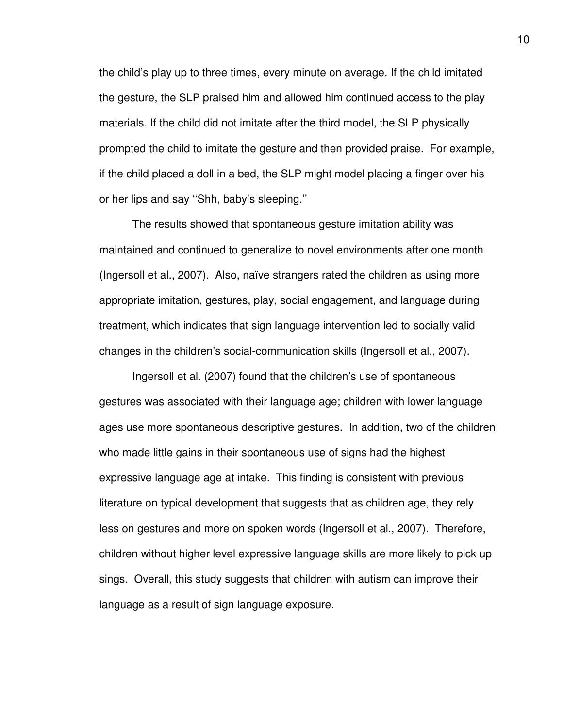the child's play up to three times, every minute on average. If the child imitated the gesture, the SLP praised him and allowed him continued access to the play materials. If the child did not imitate after the third model, the SLP physically prompted the child to imitate the gesture and then provided praise. For example, if the child placed a doll in a bed, the SLP might model placing a finger over his or her lips and say ''Shh, baby's sleeping.''

The results showed that spontaneous gesture imitation ability was maintained and continued to generalize to novel environments after one month (Ingersoll et al., 2007). Also, naïve strangers rated the children as using more appropriate imitation, gestures, play, social engagement, and language during treatment, which indicates that sign language intervention led to socially valid changes in the children's social-communication skills (Ingersoll et al., 2007).

Ingersoll et al. (2007) found that the children's use of spontaneous gestures was associated with their language age; children with lower language ages use more spontaneous descriptive gestures. In addition, two of the children who made little gains in their spontaneous use of signs had the highest expressive language age at intake. This finding is consistent with previous literature on typical development that suggests that as children age, they rely less on gestures and more on spoken words (Ingersoll et al., 2007). Therefore, children without higher level expressive language skills are more likely to pick up sings. Overall, this study suggests that children with autism can improve their language as a result of sign language exposure.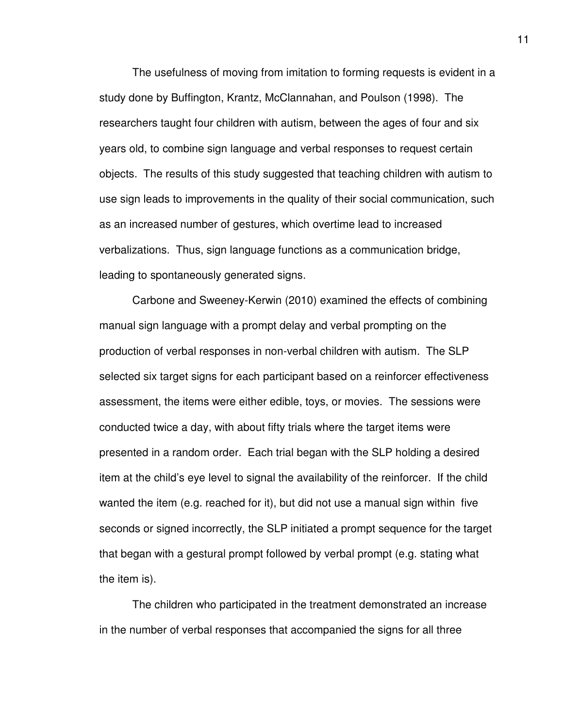The usefulness of moving from imitation to forming requests is evident in a study done by Buffington, Krantz, McClannahan, and Poulson (1998). The researchers taught four children with autism, between the ages of four and six years old, to combine sign language and verbal responses to request certain objects. The results of this study suggested that teaching children with autism to use sign leads to improvements in the quality of their social communication, such as an increased number of gestures, which overtime lead to increased verbalizations. Thus, sign language functions as a communication bridge, leading to spontaneously generated signs.

Carbone and Sweeney-Kerwin (2010) examined the effects of combining manual sign language with a prompt delay and verbal prompting on the production of verbal responses in non-verbal children with autism. The SLP selected six target signs for each participant based on a reinforcer effectiveness assessment, the items were either edible, toys, or movies. The sessions were conducted twice a day, with about fifty trials where the target items were presented in a random order. Each trial began with the SLP holding a desired item at the child's eye level to signal the availability of the reinforcer. If the child wanted the item (e.g. reached for it), but did not use a manual sign within five seconds or signed incorrectly, the SLP initiated a prompt sequence for the target that began with a gestural prompt followed by verbal prompt (e.g. stating what the item is).

The children who participated in the treatment demonstrated an increase in the number of verbal responses that accompanied the signs for all three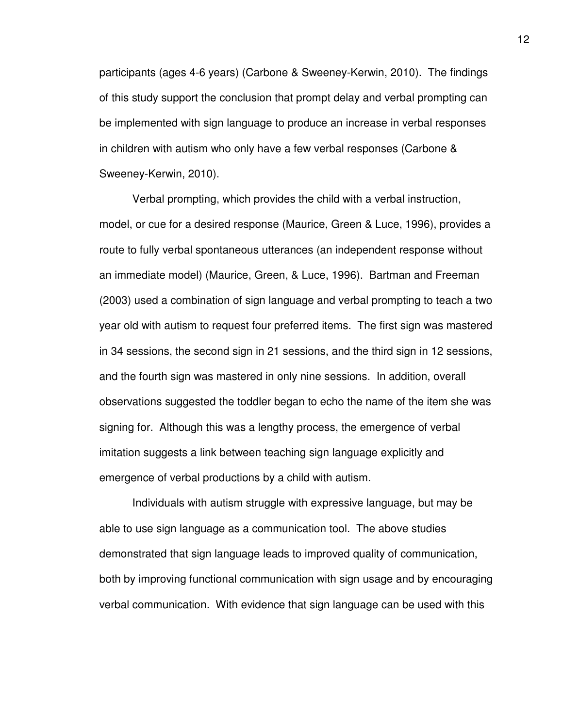participants (ages 4-6 years) (Carbone & Sweeney-Kerwin, 2010). The findings of this study support the conclusion that prompt delay and verbal prompting can be implemented with sign language to produce an increase in verbal responses in children with autism who only have a few verbal responses (Carbone & Sweeney-Kerwin, 2010).

Verbal prompting, which provides the child with a verbal instruction, model, or cue for a desired response (Maurice, Green & Luce, 1996), provides a route to fully verbal spontaneous utterances (an independent response without an immediate model) (Maurice, Green, & Luce, 1996). Bartman and Freeman (2003) used a combination of sign language and verbal prompting to teach a two year old with autism to request four preferred items. The first sign was mastered in 34 sessions, the second sign in 21 sessions, and the third sign in 12 sessions, and the fourth sign was mastered in only nine sessions. In addition, overall observations suggested the toddler began to echo the name of the item she was signing for. Although this was a lengthy process, the emergence of verbal imitation suggests a link between teaching sign language explicitly and emergence of verbal productions by a child with autism.

Individuals with autism struggle with expressive language, but may be able to use sign language as a communication tool. The above studies demonstrated that sign language leads to improved quality of communication, both by improving functional communication with sign usage and by encouraging verbal communication. With evidence that sign language can be used with this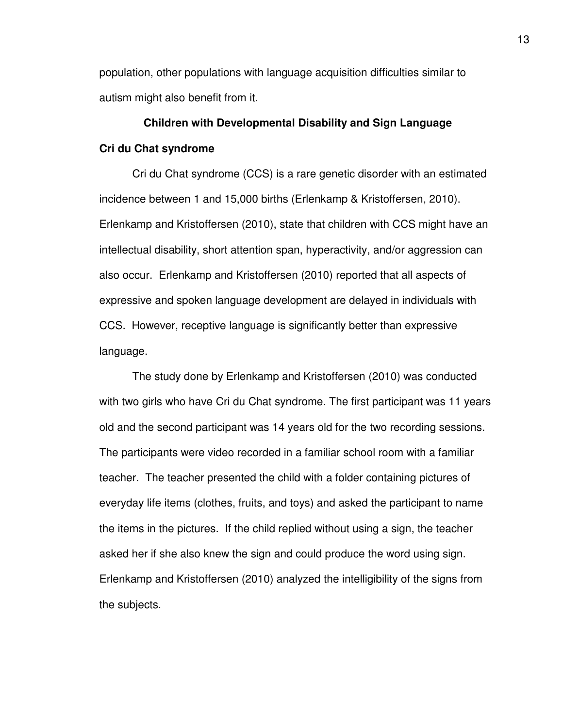population, other populations with language acquisition difficulties similar to autism might also benefit from it.

# **Children with Developmental Disability and Sign Language Cri du Chat syndrome**

Cri du Chat syndrome (CCS) is a rare genetic disorder with an estimated incidence between 1 and 15,000 births (Erlenkamp & Kristoffersen, 2010). Erlenkamp and Kristoffersen (2010), state that children with CCS might have an intellectual disability, short attention span, hyperactivity, and/or aggression can also occur. Erlenkamp and Kristoffersen (2010) reported that all aspects of expressive and spoken language development are delayed in individuals with CCS. However, receptive language is significantly better than expressive language.

The study done by Erlenkamp and Kristoffersen (2010) was conducted with two girls who have Cri du Chat syndrome. The first participant was 11 years old and the second participant was 14 years old for the two recording sessions. The participants were video recorded in a familiar school room with a familiar teacher. The teacher presented the child with a folder containing pictures of everyday life items (clothes, fruits, and toys) and asked the participant to name the items in the pictures. If the child replied without using a sign, the teacher asked her if she also knew the sign and could produce the word using sign. Erlenkamp and Kristoffersen (2010) analyzed the intelligibility of the signs from the subjects.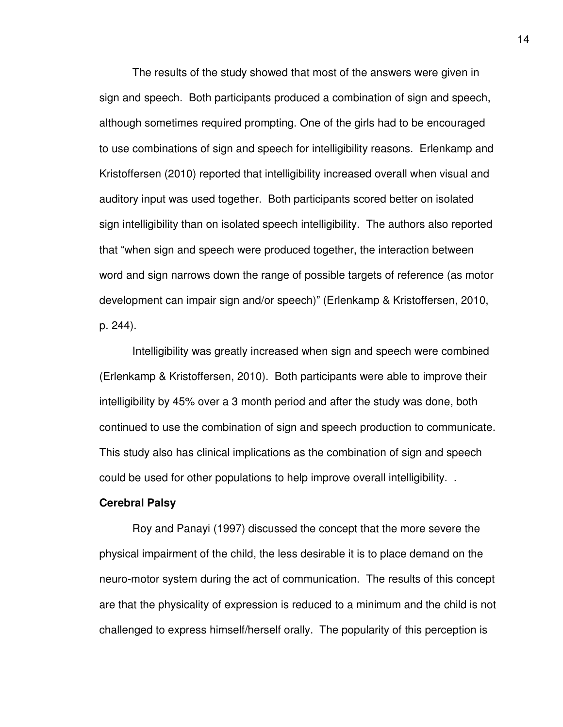The results of the study showed that most of the answers were given in sign and speech. Both participants produced a combination of sign and speech, although sometimes required prompting. One of the girls had to be encouraged to use combinations of sign and speech for intelligibility reasons. Erlenkamp and Kristoffersen (2010) reported that intelligibility increased overall when visual and auditory input was used together. Both participants scored better on isolated sign intelligibility than on isolated speech intelligibility. The authors also reported that "when sign and speech were produced together, the interaction between word and sign narrows down the range of possible targets of reference (as motor development can impair sign and/or speech)" (Erlenkamp & Kristoffersen, 2010, p. 244).

Intelligibility was greatly increased when sign and speech were combined (Erlenkamp & Kristoffersen, 2010). Both participants were able to improve their intelligibility by 45% over a 3 month period and after the study was done, both continued to use the combination of sign and speech production to communicate. This study also has clinical implications as the combination of sign and speech could be used for other populations to help improve overall intelligibility. .

#### **Cerebral Palsy**

Roy and Panayi (1997) discussed the concept that the more severe the physical impairment of the child, the less desirable it is to place demand on the neuro-motor system during the act of communication. The results of this concept are that the physicality of expression is reduced to a minimum and the child is not challenged to express himself/herself orally. The popularity of this perception is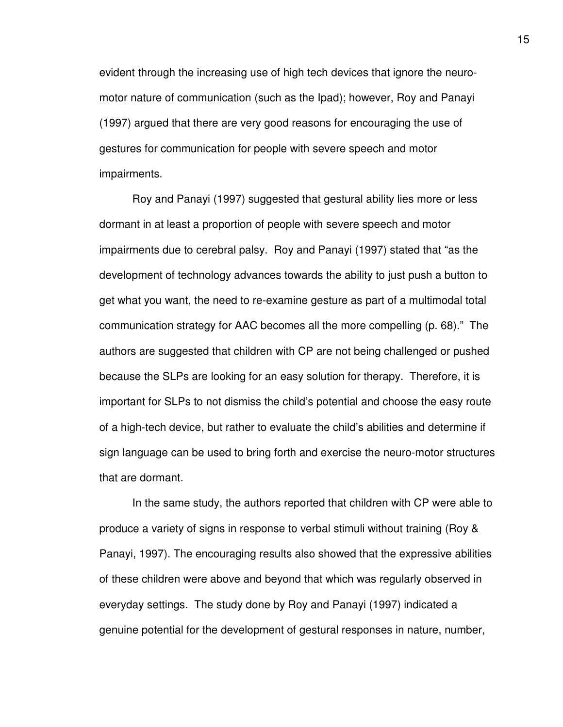evident through the increasing use of high tech devices that ignore the neuromotor nature of communication (such as the Ipad); however, Roy and Panayi (1997) argued that there are very good reasons for encouraging the use of gestures for communication for people with severe speech and motor impairments.

Roy and Panayi (1997) suggested that gestural ability lies more or less dormant in at least a proportion of people with severe speech and motor impairments due to cerebral palsy. Roy and Panayi (1997) stated that "as the development of technology advances towards the ability to just push a button to get what you want, the need to re-examine gesture as part of a multimodal total communication strategy for AAC becomes all the more compelling (p. 68)." The authors are suggested that children with CP are not being challenged or pushed because the SLPs are looking for an easy solution for therapy. Therefore, it is important for SLPs to not dismiss the child's potential and choose the easy route of a high-tech device, but rather to evaluate the child's abilities and determine if sign language can be used to bring forth and exercise the neuro-motor structures that are dormant.

In the same study, the authors reported that children with CP were able to produce a variety of signs in response to verbal stimuli without training (Roy & Panayi, 1997). The encouraging results also showed that the expressive abilities of these children were above and beyond that which was regularly observed in everyday settings. The study done by Roy and Panayi (1997) indicated a genuine potential for the development of gestural responses in nature, number,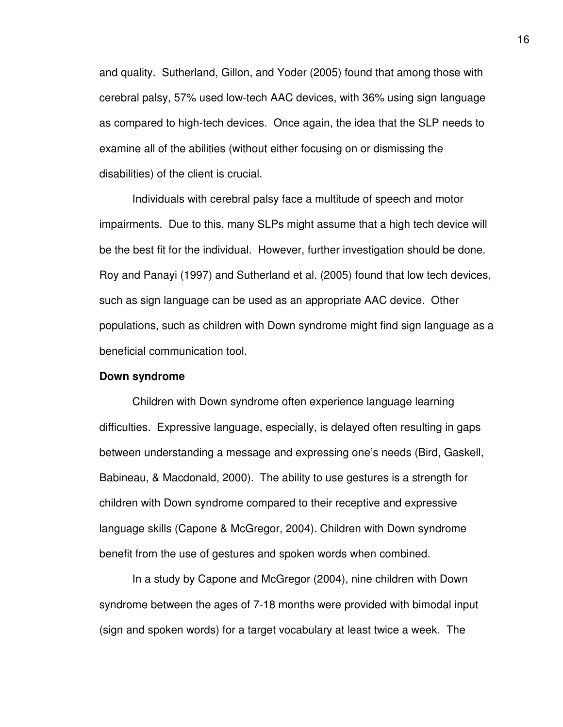and quality. Sutherland, Gillon, and Yoder (2005) found that among those with cerebral palsy, 57% used low-tech AAC devices, with 36% using sign language as compared to high-tech devices. Once again, the idea that the SLP needs to examine all of the abilities (without either focusing on or dismissing the disabilities) of the client is crucial.

Individuals with cerebral palsy face a multitude of speech and motor impairments. Due to this, many SLPs might assume that a high tech device will be the best fit for the individual. However, further investigation should be done. Roy and Panayi (1997) and Sutherland et al. (2005) found that low tech devices, such as sign language can be used as an appropriate AAC device. Other populations, such as children with Down syndrome might find sign language as a beneficial communication tool.

#### **Down syndrome**

 Children with Down syndrome often experience language learning difficulties. Expressive language, especially, is delayed often resulting in gaps between understanding a message and expressing one's needs (Bird, Gaskell, Babineau, & Macdonald, 2000). The ability to use gestures is a strength for children with Down syndrome compared to their receptive and expressive language skills (Capone & McGregor, 2004). Children with Down syndrome benefit from the use of gestures and spoken words when combined.

In a study by Capone and McGregor (2004), nine children with Down syndrome between the ages of 7-18 months were provided with bimodal input (sign and spoken words) for a target vocabulary at least twice a week. The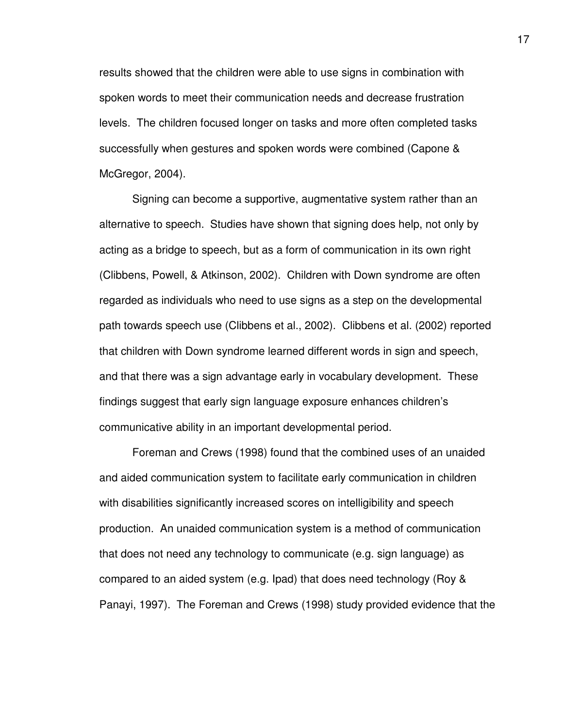results showed that the children were able to use signs in combination with spoken words to meet their communication needs and decrease frustration levels. The children focused longer on tasks and more often completed tasks successfully when gestures and spoken words were combined (Capone & McGregor, 2004).

 Signing can become a supportive, augmentative system rather than an alternative to speech. Studies have shown that signing does help, not only by acting as a bridge to speech, but as a form of communication in its own right (Clibbens, Powell, & Atkinson, 2002). Children with Down syndrome are often regarded as individuals who need to use signs as a step on the developmental path towards speech use (Clibbens et al., 2002). Clibbens et al. (2002) reported that children with Down syndrome learned different words in sign and speech, and that there was a sign advantage early in vocabulary development. These findings suggest that early sign language exposure enhances children's communicative ability in an important developmental period.

 Foreman and Crews (1998) found that the combined uses of an unaided and aided communication system to facilitate early communication in children with disabilities significantly increased scores on intelligibility and speech production. An unaided communication system is a method of communication that does not need any technology to communicate (e.g. sign language) as compared to an aided system (e.g. Ipad) that does need technology (Roy & Panayi, 1997). The Foreman and Crews (1998) study provided evidence that the 17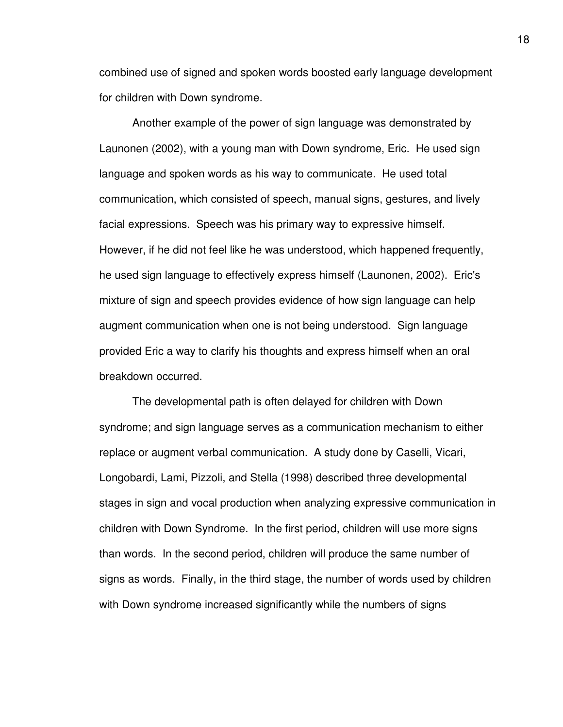combined use of signed and spoken words boosted early language development for children with Down syndrome.

Another example of the power of sign language was demonstrated by Launonen (2002), with a young man with Down syndrome, Eric. He used sign language and spoken words as his way to communicate. He used total communication, which consisted of speech, manual signs, gestures, and lively facial expressions. Speech was his primary way to expressive himself. However, if he did not feel like he was understood, which happened frequently, he used sign language to effectively express himself (Launonen, 2002). Eric's mixture of sign and speech provides evidence of how sign language can help augment communication when one is not being understood. Sign language provided Eric a way to clarify his thoughts and express himself when an oral breakdown occurred.

The developmental path is often delayed for children with Down syndrome; and sign language serves as a communication mechanism to either replace or augment verbal communication. A study done by Caselli, Vicari, Longobardi, Lami, Pizzoli, and Stella (1998) described three developmental stages in sign and vocal production when analyzing expressive communication in children with Down Syndrome. In the first period, children will use more signs than words. In the second period, children will produce the same number of signs as words. Finally, in the third stage, the number of words used by children with Down syndrome increased significantly while the numbers of signs

18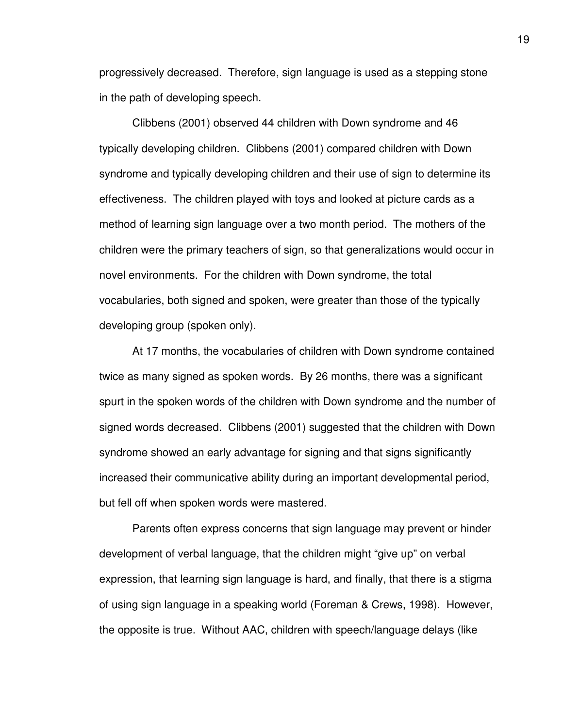progressively decreased. Therefore, sign language is used as a stepping stone in the path of developing speech.

Clibbens (2001) observed 44 children with Down syndrome and 46 typically developing children. Clibbens (2001) compared children with Down syndrome and typically developing children and their use of sign to determine its effectiveness. The children played with toys and looked at picture cards as a method of learning sign language over a two month period. The mothers of the children were the primary teachers of sign, so that generalizations would occur in novel environments. For the children with Down syndrome, the total vocabularies, both signed and spoken, were greater than those of the typically developing group (spoken only).

At 17 months, the vocabularies of children with Down syndrome contained twice as many signed as spoken words. By 26 months, there was a significant spurt in the spoken words of the children with Down syndrome and the number of signed words decreased. Clibbens (2001) suggested that the children with Down syndrome showed an early advantage for signing and that signs significantly increased their communicative ability during an important developmental period, but fell off when spoken words were mastered.

Parents often express concerns that sign language may prevent or hinder development of verbal language, that the children might "give up" on verbal expression, that learning sign language is hard, and finally, that there is a stigma of using sign language in a speaking world (Foreman & Crews, 1998). However, the opposite is true. Without AAC, children with speech/language delays (like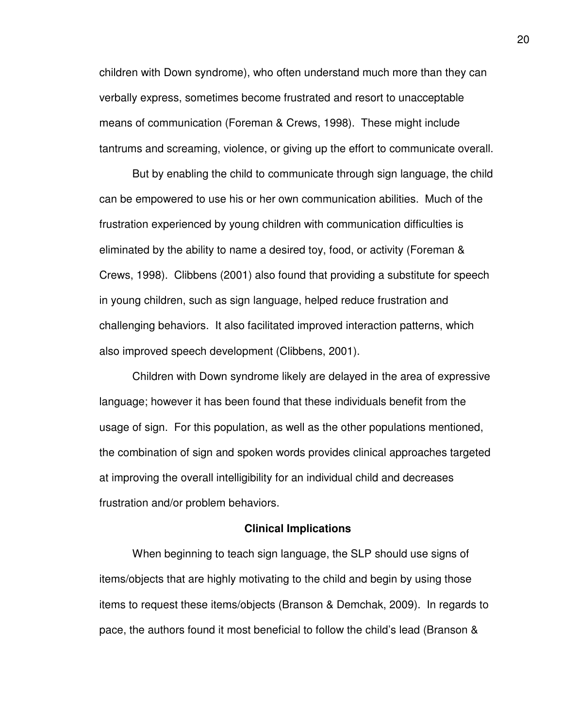children with Down syndrome), who often understand much more than they can verbally express, sometimes become frustrated and resort to unacceptable means of communication (Foreman & Crews, 1998). These might include tantrums and screaming, violence, or giving up the effort to communicate overall.

But by enabling the child to communicate through sign language, the child can be empowered to use his or her own communication abilities. Much of the frustration experienced by young children with communication difficulties is eliminated by the ability to name a desired toy, food, or activity (Foreman & Crews, 1998). Clibbens (2001) also found that providing a substitute for speech in young children, such as sign language, helped reduce frustration and challenging behaviors. It also facilitated improved interaction patterns, which also improved speech development (Clibbens, 2001).

Children with Down syndrome likely are delayed in the area of expressive language; however it has been found that these individuals benefit from the usage of sign. For this population, as well as the other populations mentioned, the combination of sign and spoken words provides clinical approaches targeted at improving the overall intelligibility for an individual child and decreases frustration and/or problem behaviors.

#### **Clinical Implications**

When beginning to teach sign language, the SLP should use signs of items/objects that are highly motivating to the child and begin by using those items to request these items/objects (Branson & Demchak, 2009). In regards to pace, the authors found it most beneficial to follow the child's lead (Branson &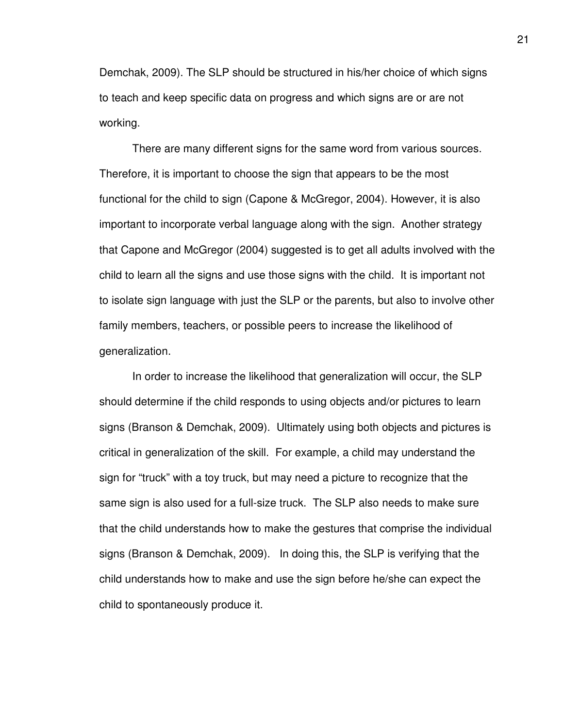Demchak, 2009). The SLP should be structured in his/her choice of which signs to teach and keep specific data on progress and which signs are or are not working.

There are many different signs for the same word from various sources. Therefore, it is important to choose the sign that appears to be the most functional for the child to sign (Capone & McGregor, 2004). However, it is also important to incorporate verbal language along with the sign. Another strategy that Capone and McGregor (2004) suggested is to get all adults involved with the child to learn all the signs and use those signs with the child. It is important not to isolate sign language with just the SLP or the parents, but also to involve other family members, teachers, or possible peers to increase the likelihood of generalization.

In order to increase the likelihood that generalization will occur, the SLP should determine if the child responds to using objects and/or pictures to learn signs (Branson & Demchak, 2009). Ultimately using both objects and pictures is critical in generalization of the skill. For example, a child may understand the sign for "truck" with a toy truck, but may need a picture to recognize that the same sign is also used for a full-size truck. The SLP also needs to make sure that the child understands how to make the gestures that comprise the individual signs (Branson & Demchak, 2009). In doing this, the SLP is verifying that the child understands how to make and use the sign before he/she can expect the child to spontaneously produce it.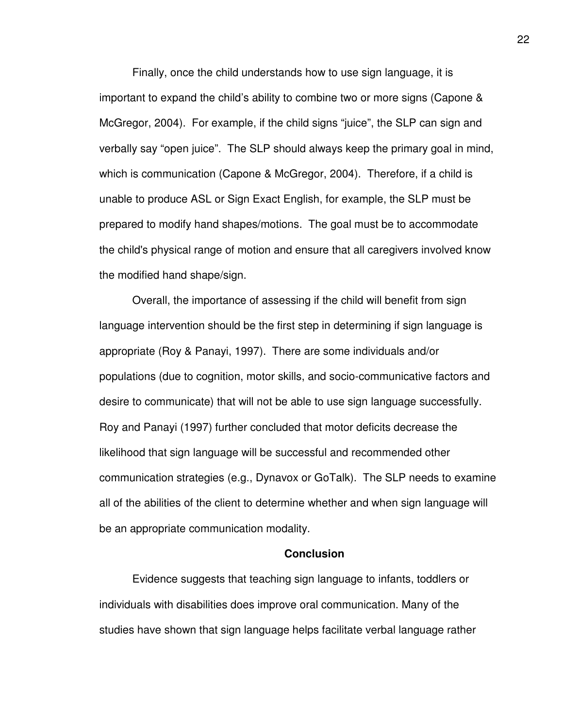Finally, once the child understands how to use sign language, it is important to expand the child's ability to combine two or more signs (Capone & McGregor, 2004). For example, if the child signs "juice", the SLP can sign and verbally say "open juice". The SLP should always keep the primary goal in mind, which is communication (Capone & McGregor, 2004). Therefore, if a child is unable to produce ASL or Sign Exact English, for example, the SLP must be prepared to modify hand shapes/motions. The goal must be to accommodate the child's physical range of motion and ensure that all caregivers involved know the modified hand shape/sign.

Overall, the importance of assessing if the child will benefit from sign language intervention should be the first step in determining if sign language is appropriate (Roy & Panayi, 1997). There are some individuals and/or populations (due to cognition, motor skills, and socio-communicative factors and desire to communicate) that will not be able to use sign language successfully. Roy and Panayi (1997) further concluded that motor deficits decrease the likelihood that sign language will be successful and recommended other communication strategies (e.g., Dynavox or GoTalk). The SLP needs to examine all of the abilities of the client to determine whether and when sign language will be an appropriate communication modality.

#### **Conclusion**

Evidence suggests that teaching sign language to infants, toddlers or individuals with disabilities does improve oral communication. Many of the studies have shown that sign language helps facilitate verbal language rather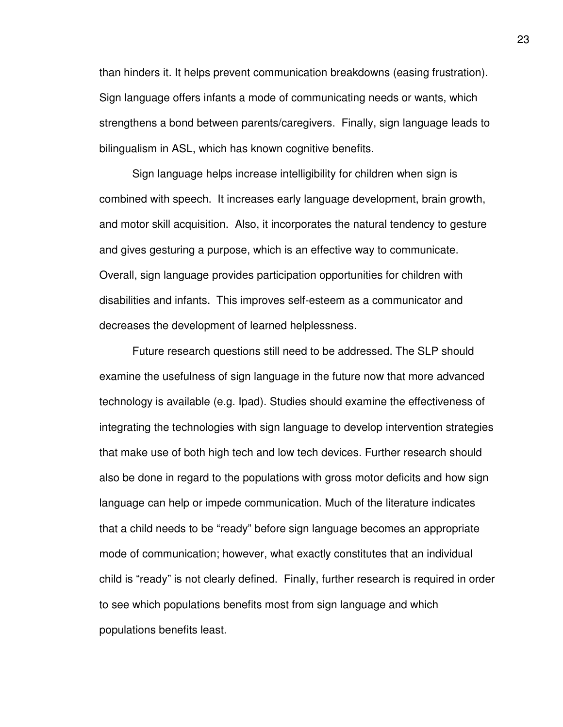than hinders it. It helps prevent communication breakdowns (easing frustration). Sign language offers infants a mode of communicating needs or wants, which strengthens a bond between parents/caregivers. Finally, sign language leads to bilingualism in ASL, which has known cognitive benefits.

Sign language helps increase intelligibility for children when sign is combined with speech. It increases early language development, brain growth, and motor skill acquisition. Also, it incorporates the natural tendency to gesture and gives gesturing a purpose, which is an effective way to communicate. Overall, sign language provides participation opportunities for children with disabilities and infants. This improves self-esteem as a communicator and decreases the development of learned helplessness.

Future research questions still need to be addressed. The SLP should examine the usefulness of sign language in the future now that more advanced technology is available (e.g. Ipad). Studies should examine the effectiveness of integrating the technologies with sign language to develop intervention strategies that make use of both high tech and low tech devices. Further research should also be done in regard to the populations with gross motor deficits and how sign language can help or impede communication. Much of the literature indicates that a child needs to be "ready" before sign language becomes an appropriate mode of communication; however, what exactly constitutes that an individual child is "ready" is not clearly defined. Finally, further research is required in order to see which populations benefits most from sign language and which populations benefits least.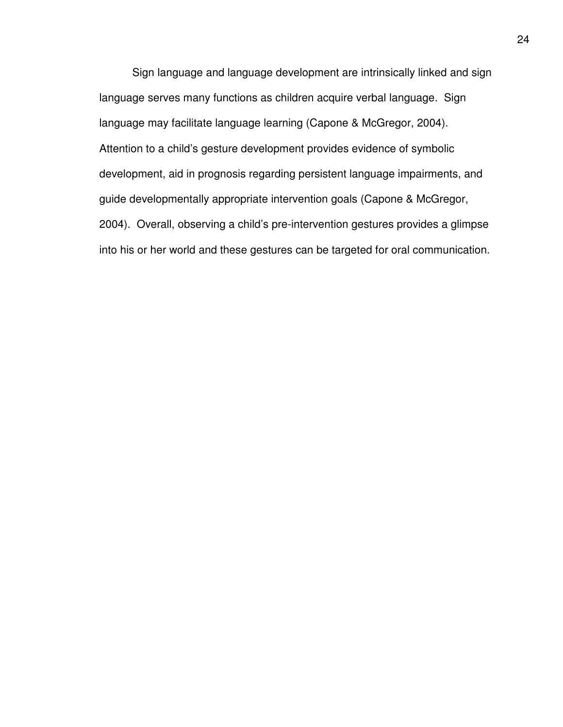Sign language and language development are intrinsically linked and sign language serves many functions as children acquire verbal language. Sign language may facilitate language learning (Capone & McGregor, 2004). Attention to a child's gesture development provides evidence of symbolic development, aid in prognosis regarding persistent language impairments, and guide developmentally appropriate intervention goals (Capone & McGregor, 2004). Overall, observing a child's pre-intervention gestures provides a glimpse into his or her world and these gestures can be targeted for oral communication.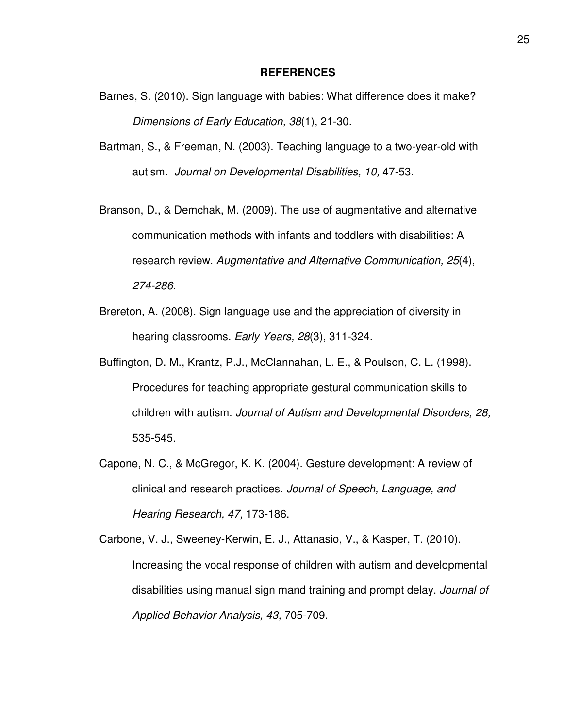#### **REFERENCES**

- Barnes, S. (2010). Sign language with babies: What difference does it make? Dimensions of Early Education, 38(1), 21-30.
- Bartman, S., & Freeman, N. (2003). Teaching language to a two-year-old with autism. Journal on Developmental Disabilities, 10, 47-53.
- Branson, D., & Demchak, M. (2009). The use of augmentative and alternative communication methods with infants and toddlers with disabilities: A research review. Augmentative and Alternative Communication, 25(4), 274-286.
- Brereton, A. (2008). Sign language use and the appreciation of diversity in hearing classrooms. Early Years, 28(3), 311-324.
- Buffington, D. M., Krantz, P.J., McClannahan, L. E., & Poulson, C. L. (1998). Procedures for teaching appropriate gestural communication skills to children with autism. Journal of Autism and Developmental Disorders, 28, 535-545.
- Capone, N. C., & McGregor, K. K. (2004). Gesture development: A review of clinical and research practices. Journal of Speech, Language, and Hearing Research, 47, 173-186.

Carbone, V. J., Sweeney-Kerwin, E. J., Attanasio, V., & Kasper, T. (2010). Increasing the vocal response of children with autism and developmental disabilities using manual sign mand training and prompt delay. Journal of Applied Behavior Analysis, 43, 705-709.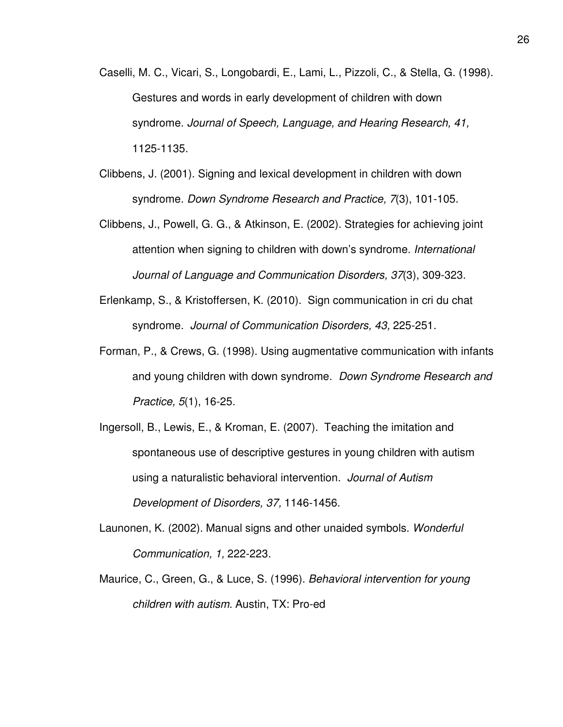- Caselli, M. C., Vicari, S., Longobardi, E., Lami, L., Pizzoli, C., & Stella, G. (1998). Gestures and words in early development of children with down syndrome. Journal of Speech, Language, and Hearing Research, 41, 1125-1135.
- Clibbens, J. (2001). Signing and lexical development in children with down syndrome. Down Syndrome Research and Practice, 7(3), 101-105.
- Clibbens, J., Powell, G. G., & Atkinson, E. (2002). Strategies for achieving joint attention when signing to children with down's syndrome. International Journal of Language and Communication Disorders, 37(3), 309-323.
- Erlenkamp, S., & Kristoffersen, K. (2010). Sign communication in cri du chat syndrome. Journal of Communication Disorders, 43, 225-251.
- Forman, P., & Crews, G. (1998). Using augmentative communication with infants and young children with down syndrome. Down Syndrome Research and Practice, 5(1), 16-25.
- Ingersoll, B., Lewis, E., & Kroman, E. (2007). Teaching the imitation and spontaneous use of descriptive gestures in young children with autism using a naturalistic behavioral intervention. Journal of Autism Development of Disorders, 37, 1146-1456.
- Launonen, K. (2002). Manual signs and other unaided symbols. Wonderful Communication, 1, 222-223.
- Maurice, C., Green, G., & Luce, S. (1996). Behavioral intervention for young children with autism. Austin, TX: Pro-ed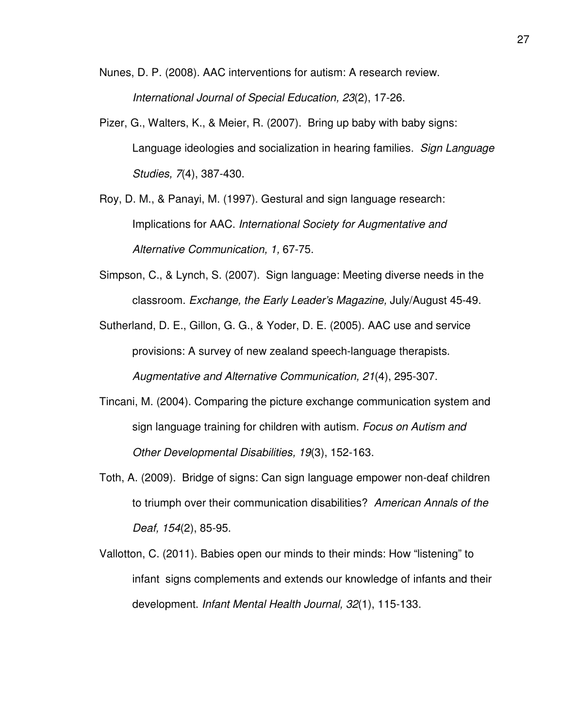Nunes, D. P. (2008). AAC interventions for autism: A research review. International Journal of Special Education, 23(2), 17-26.

- Pizer, G., Walters, K., & Meier, R. (2007). Bring up baby with baby signs: Language ideologies and socialization in hearing families. Sign Language Studies, 7(4), 387-430.
- Roy, D. M., & Panayi, M. (1997). Gestural and sign language research: Implications for AAC. International Society for Augmentative and Alternative Communication, 1, 67-75.
- Simpson, C., & Lynch, S. (2007). Sign language: Meeting diverse needs in the classroom. Exchange, the Early Leader's Magazine, July/August 45-49.
- Sutherland, D. E., Gillon, G. G., & Yoder, D. E. (2005). AAC use and service provisions: A survey of new zealand speech-language therapists. Augmentative and Alternative Communication, 21(4), 295-307.
- Tincani, M. (2004). Comparing the picture exchange communication system and sign language training for children with autism. Focus on Autism and Other Developmental Disabilities, 19(3), 152-163.
- Toth, A. (2009). Bridge of signs: Can sign language empower non-deaf children to triumph over their communication disabilities? American Annals of the Deaf, 154(2), 85-95.
- Vallotton, C. (2011). Babies open our minds to their minds: How "listening" to infant signs complements and extends our knowledge of infants and their development. Infant Mental Health Journal, 32(1), 115-133.